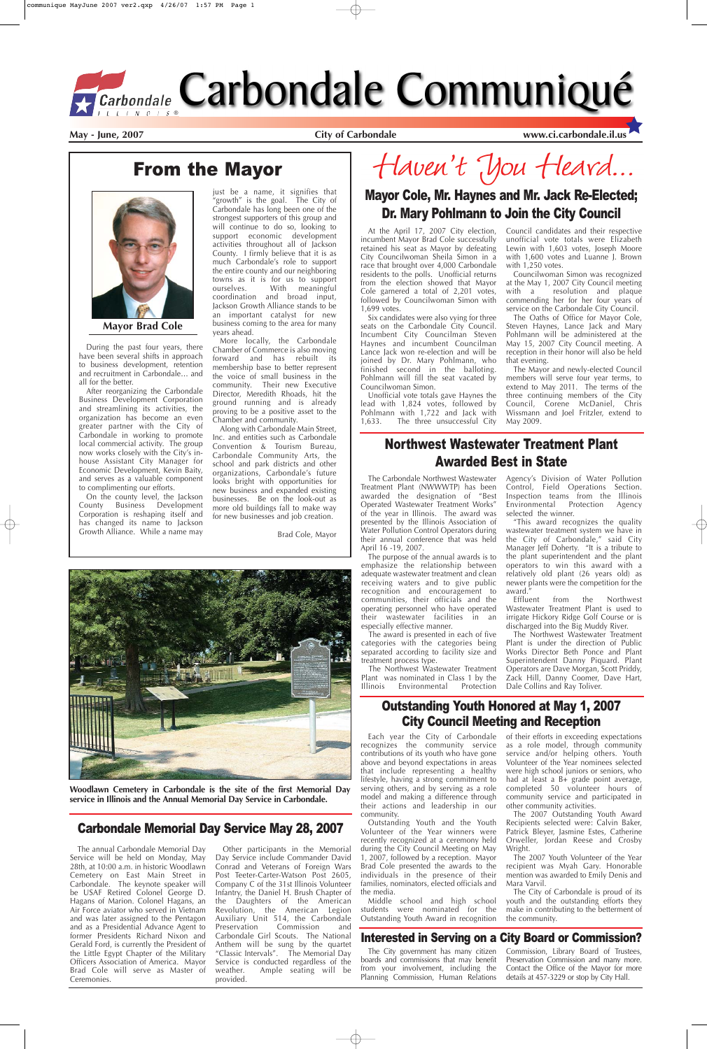## Carbondale Memorial Day Service May 28, 2007

## From the Mayor

The Carbondale Northwest Wastewater Treatment Plant (NWWWTP) has been awarded the designation of "Best Operated Wastewater Treatment Works" of the year in Illinois. The award was presented by the Illinois Association of Water Pollution Control Operators during their annual conference that was held April 16 -19, 2007.

The Northwest Wastewater Treatment Plant was nominated in Class 1 by the<br>Illinois Environmental Protection **Environmental** 

The purpose of the annual awards is to emphasize the relationship between adequate wastewater treatment and clean receiving waters and to give public recognition and encouragement to communities, their officials and the operating personnel who have operated their wastewater facilities in an especially effective manner.

The award is presented in each of five categories with the categories being separated according to facility size and treatment process type.

Agency's Division of Water Pollution Control, Field Operations Section. Inspection teams from the Illinois Environmental Protection Agency selected the winner.

"This award recognizes the quality wastewater treatment system we have in the City of Carbondale," said City Manager Jeff Doherty. "It is a tribute to the plant superintendent and the plant operators to win this award with a relatively old plant (26 years old) as newer plants were the competition for the award."

Effluent from the Northwest Wastewater Treatment Plant is used to irrigate Hickory Ridge Golf Course or is discharged into the Big Muddy River.

The Northwest Wastewater Treatment Plant is under the direction of Public Works Director Beth Ponce and Plant Superintendent Danny Piquard. Plant Operators are Dave Morgan, Scott Priddy, Zack Hill, Danny Coomer, Dave Hart, Dale Collins and Ray Toliver.

## Northwest Wastewater Treatment Plant Awarded Best in State

During the past four years, there have been several shifts in approach to business development, retention and recruitment in Carbondale… and all for the better.

After reorganizing the Carbondale Business Development Corporation and streamlining its activities, the organization has become an even greater partner with the City of Carbondale in working to promote local commercial activity. The group now works closely with the City's inhouse Assistant City Manager for Economic Development, Kevin Baity, and serves as a valuable component to complimenting our efforts.

On the county level, the Jackson County Business Development Corporation is reshaping itself and has changed its name to Jackson Growth Alliance. While a name may

just be a name, it signifies that "growth" is the goal. The City of Carbondale has long been one of the strongest supporters of this group and will continue to do so, looking to support economic development activities throughout all of Jackson County. I firmly believe that it is as much Carbondale's role to support the entire county and our neighboring towns as it is for us to support ourselves. With meaningful coordination and broad input, Jackson Growth Alliance stands to be an important catalyst for new business coming to the area for many years ahead.

More locally, the Carbondale Chamber of Commerce is also moving forward and has rebuilt its membership base to better represent the voice of small business in the community. Their new Executive Director, Meredith Rhoads, hit the ground running and is already proving to be a positive asset to the Chamber and community.

Along with Carbondale Main Street, Inc. and entities such as Carbondale Convention & Tourism Bureau, Carbondale Community Arts, the school and park districts and other organizations, Carbondale's future looks bright with opportunities for new business and expanded existing businesses. Be on the look-out as more old buildings fall to make way for new businesses and job creation.

Brad Cole, Mayor



Haven't you Heard...



**Mayor Brad Cole**

**Woodlawn Cemetery in Carbondale is the site of the first Memorial Day service in Illinois and the Annual Memorial Day Service in Carbondale.** 

> The 2007 Outstanding Youth Award Recipients selected were: Calvin Baker, Patrick Bleyer, Jasmine Estes, Catherine Orweller, Jordan Reese and Crosby Wright.

The annual Carbondale Memorial Day Service will be held on Monday, May 28th, at 10:00 a.m. in historic Woodlawn Cemetery on East Main Street in Carbondale. The keynote speaker will be USAF Retired Colonel George D. Hagans of Marion. Colonel Hagans, an Air Force aviator who served in Vietnam and was later assigned to the Pentagon and as a Presidential Advance Agent to former Presidents Richard Nixon and Gerald Ford, is currently the President of the Little Egypt Chapter of the Military Officers Association of America. Mayor Brad Cole will serve as Master of Ceremonies.

Other participants in the Memorial Day Service include Commander David Conrad and Veterans of Foreign Wars Post Teeter-Carter-Watson Post 2605, Company C of the 31st Illinois Volunteer Infantry, the Daniel H. Brush Chapter of the Daughters of the American Revolution, the American Legion Auxiliary Unit 514, the Carbondale<br>Preservation Commission and Preservation Commission and Carbondale Girl Scouts. The National Anthem will be sung by the quartet "Classic Intervals". The Memorial Day Service is conducted regardless of the weather. Ample seating will be provided.

### Interested in Serving on a City Board or Commission?

The City government has many citizen boards and commissions that may benefit from your involvement, including the Planning Commission, Human Relations

Commission, Library Board of Trustees, Preservation Commission and many more. Contact the Office of the Mayor for more details at 457-3229 or stop by City Hall.

## Mayor Cole, Mr. Haynes and Mr. Jack Re-Elected; Dr. Mary Pohlmann to Join the City Council

At the April 17, 2007 City election, incumbent Mayor Brad Cole successfully retained his seat as Mayor by defeating City Councilwoman Sheila Simon in a race that brought over 4,000 Carbondale residents to the polls. Unofficial returns from the election showed that Mayor Cole garnered a total of 2,201 votes, followed by Councilwoman Simon with 1,699 votes.

Six candidates were also vying for three seats on the Carbondale City Council. Incumbent City Councilman Steven Haynes and incumbent Councilman Lance Jack won re-election and will be joined by Dr. Mary Pohlmann, who finished second in the balloting. Pohlmann will fill the seat vacated by Councilwoman Simon.

Unofficial vote totals gave Haynes the lead with 1,824 votes, followed by Pohlmann with 1,722 and Jack with 1,633. The three unsuccessful City Council candidates and their respective unofficial vote totals were Elizabeth Lewin with 1,603 votes, Joseph Moore with 1,600 votes and Luanne J. Brown with 1,250 votes.

Councilwoman Simon was recognized at the May 1, 2007 City Council meeting with a resolution and plaque commending her for her four years of service on the Carbondale City Council.

The Oaths of Office for Mayor Cole, Steven Haynes, Lance Jack and Mary Pohlmann will be administered at the May 15, 2007 City Council meeting. A reception in their honor will also be held that evening.

The Mayor and newly-elected Council members will serve four year terms, to extend to May 2011. The terms of the three continuing members of the City Council, Corene McDaniel, Chris Wissmann and Joel Fritzler, extend to May 2009.

## Outstanding Youth Honored at May 1, 2007 City Council Meeting and Reception

Each year the City of Carbondale recognizes the community service contributions of its youth who have gone above and beyond expectations in areas that include representing a healthy lifestyle, having a strong commitment to serving others, and by serving as a role model and making a difference through their actions and leadership in our community.

Outstanding Youth and the Youth Volunteer of the Year winners were recently recognized at a ceremony held during the City Council Meeting on May 1, 2007, followed by a reception. Mayor Brad Cole presented the awards to the individuals in the presence of their families, nominators, elected officials and the media.

Middle school and high school students were nominated for the Outstanding Youth Award in recognition

of their efforts in exceeding expectations as a role model, through community service and/or helping others. Youth Volunteer of the Year nominees selected were high school juniors or seniors, who had at least a B+ grade point average, completed 50 volunteer hours of community service and participated in other community activities.

The 2007 Youth Volunteer of the Year recipient was Myah Gary. Honorable mention was awarded to Emily Denis and Mara Varvil.

The City of Carbondale is proud of its youth and the outstanding efforts they make in contributing to the betterment of the community.

# *ECarbondale* Carbondale Communiqué

May - June, 2007 **City of Carbondale With City of Carbondale** www.ci.carbondale.il.us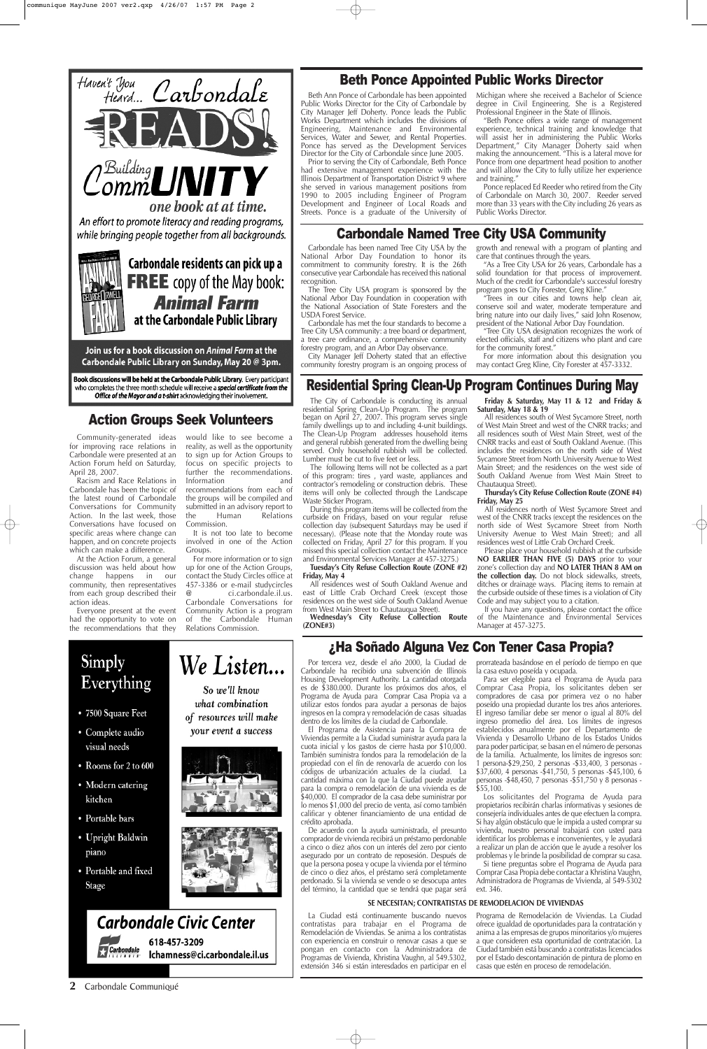Community-generated ideas for improving race relations in Carbondale were presented at an Action Forum held on Saturday, April 28, 2007.

Racism and Race Relations in Carbondale has been the topic of the latest round of Carbondale Conversations for Community Action. In the last week, those Conversations have focused on specific areas where change can happen, and on concrete projects which can make a difference.

would like to see become a reality, as well as the opportunity to sign up for Action Groups to focus on specific projects to further the recommendations.<br>Information and Information

At the Action Forum, a general discussion was held about how change happens in our community, then representatives from each group described their action ideas.

Everyone present at the event had the opportunity to vote on the recommendations that they

recommendations from each of the groups will be compiled and submitted in an advisory report to<br>the Human Relations the Human Relations Commission.

It is not too late to become involved in one of the Action Groups.

For more information or to sign up for one of the Action Groups, contact the Study Circles office at 457-3386 or e-mail studycircles<br>
a ci.carbondale.il.us. @ ci.carbondale.il.us. Carbondale Conversations for Community Action is a program of the Carbondale Human Relations Commission.

## ¿Ha Soñado Alguna Vez Con Tener Casa Propia?

## Action Groups Seek Volunteers

#### **2** Carbondale Communiqué

## Residential Spring Clean-Up Program Continues During May

All residences south of West Sycamore Street, north of West Main Street and west of the CNRR tracks; and all residences south of West Main Street, west of the CNRR tracks and east of South Oakland Avenue. (This includes the residences on the north side of West Sycamore Street from North University Avenue to West Main Street; and the residences on the west side of South Oakland Avenue from West Main Street to Chautauqua Street).

The City of Carbondale is conducting its annual residential Spring Clean-Up Program. The program began on April 27, 2007. This program serves single family dwellings up to and including 4-unit buildings. The Clean-Up Program addresses household items and general rubbish generated from the dwelling being served. Only household rubbish will be collected. Lumber must be cut to five feet or less.

The following Items will not be collected as a part of this program: tires , yard waste, appliances and contractor's remodeling or construction debris. These items will only be collected through the Landscape Waste Sticker Program.

During this program items will be collected from the curbside on Fridays, based on your regular refuse collection day (subsequent Saturdays may be used if necessary). (Please note that the Monday route was collected on Friday, April 27 for this program. If you missed this special collection contact the Maintenance and Environmental Services Manager at 457-3275.)

Prior to serving the City of Carbondale, Beth Ponce had extensive management experience with the Illinois Department of Transportation District 9 where she served in various management positions from 1990 to 2005 including Engineer of Program Development and Engineer of Local Roads and Streets. Ponce is a graduate of the University of

**Tuesday's City Refuse Collection Route (ZONE #2) Friday, May 4**

All residences west of South Oakland Avenue and east of Little Crab Orchard Creek (except those residences on the west side of South Oakland Avenue from West Main Street to Chautauqua Street).

**Wednesday's City Refuse Collection Route (ZONE#3)**

#### **Friday & Saturday, May 11 & 12 and Friday & Saturday, May 18 & 19**

**Thursday's City Refuse Collection Route (ZONE #4) Friday, May 25**

All residences north of West Sycamore Street and west of the CNRR tracks (except the residences on the north side of West Sycamore Street from North University Avenue to West Main Street); and all residences west of Little Crab Orchard Creek.

Please place your household rubbish at the curbside **NO EARLIER THAN FIVE (5) DAYS** prior to your zone's collection day and **NO LATER THAN 8 AM on the collection day.** Do not block sidewalks, streets, ditches or drainage ways. Placing items to remain at the curbside outside of these times is a violation of City Code and may subject you to a citation.

If you have any questions, please contact the office of the Maintenance and Environmental Services Manager at 457-3275.

## Beth Ponce Appointed Public Works Director

Beth Ann Ponce of Carbondale has been appointed Public Works Director for the City of Carbondale by City Manager Jeff Doherty. Ponce leads the Public Works Department which includes the divisions of Engineering, Maintenance and Environmental Services, Water and Sewer, and Rental Properties. Ponce has served as the Development Services Director for the City of Carbondale since June 2005.

Michigan where she received a Bachelor of Science degree in Civil Engineering. She is a Registered Professional Engineer in the State of Illinois.

"Beth Ponce offers a wide range of management experience, technical training and knowledge that will assist her in administering the Public Works Department," City Manager Doherty said when making the announcement. "This is a lateral move for Ponce from one department head position to another and will allow the City to fully utilize her experience and training."

Ponce replaced Ed Reeder who retired from the City of Carbondale on March 30, 2007. Reeder served more than 33 years with the City including 26 years as Public Works Director.

## Carbondale Named Tree City USA Community

Carbondale has been named Tree City USA by the National Arbor Day Foundation to honor its commitment to community forestry. It is the 26th consecutive year Carbondale has received this national recognition.

The Tree City USA program is sponsored by the National Arbor Day Foundation in cooperation with the National Association of State Foresters and the USDA Forest Service.

Carbondale has met the four standards to become a Tree City USA community: a tree board or department, a tree care ordinance, a comprehensive community forestry program, and an Arbor Day observance.

City Manager Jeff Doherty stated that an effective community forestry program is an ongoing process of growth and renewal with a program of planting and care that continues through the years.

"As a Tree City USA for 26 years, Carbondale has a solid foundation for that process of improvement. Much of the credit for Carbondale's successful forestry program goes to City Forester, Greg Kline."

"Trees in our cities and towns help clean air, conserve soil and water, moderate temperature and bring nature into our daily lives," said John Rosenow, president of the National Arbor Day Foundation.

"Tree City USA designation recognizes the work of elected officials, staff and citizens who plant and care for the community forest."

For more information about this designation you may contact Greg Kline, City Forester at 457-3332.

Por tercera vez, desde el año 2000, la Ciudad de Carbondale ha recibido una subvención de Illinois Housing Development Authority. La cantidad otorgada es de \$380.000. Durante los próximos dos años, el Programa de Ayuda para Comprar Casa Propia va a utilizar estos fondos para ayudar a personas de bajos ingresos en la compra y remodelación de casas situadas dentro de los límites de la ciudad de Carbondale.

El Programa de Asistencia para la Compra de

#### Viviendas permite a la Ciudad suministrar ayuda para la cuota inicial y los gastos de cierre hasta por \$10,000. También suministra fondos para la remodelación de la propiedad con el fín de renovarla de acuerdo con los códigos de urbanización actuales de la ciudad. La cantidad máxima con la que la Ciudad puede ayudar para la compra o remodelación de una vivienda es de \$40,000. El comprador de la casa debe suministrar por lo menos \$1,000 del precio de venta, así como también calificar y obtener financiamiento de una entidad de crédito aprobada.

De acuerdo con la ayuda suministrada, el presunto comprador de vivienda recibirá un préstamo perdonable a cinco o diez años con un interés del zero por ciento asegurado por un contrato de reposesión. Después de que la persona posea y ocupe la vivienda por el término de cinco o diez años, el préstamo será completamente perdonado. Si la vivienda se vende o se desocupa antes del término, la cantidad que se tendrá que pagar será prorrateada basándose en el período de tiempo en que la casa estuvo poseída y ocupada.

Para ser elegible para el Programa de Ayuda para Comprar Casa Propia, los solicitantes deben ser compradores de casa por primera vez o no haber poseído una propiedad durante los tres años anteriores. El ingreso familiar debe ser menor o igual al 80% del ingreso promedio del área. Los límites de ingresos establecidos anualmente por el Departamento de Vivienda y Desarrollo Urbano de los Estados Unidos para poder participar, se basan en el número de personas de la familia. Actualmente, los límites de ingresos son: 1 persona-\$29,250, 2 personas -\$33,400, 3 personas - \$37,600, 4 personas -\$41,750, 5 personas -\$45,100, 6 personas -\$48,450, 7 personas -\$51,750 y 8 personas - \$55,100. Los solicitantes del Programa de Ayuda para propietarios recibirán charlas informativas y sesiones de consejería individuales antes de que efectuen la compra. Si hay algún obstáculo que le impida a usted comprar su vivienda, nuestro personal trabajará con usted para identificar los problemas e inconvenientes, y le ayudará a realizar un plan de acción que le ayude a resolver los problemas y le brinde la posibilidad de comprar su casa. Si tiene preguntas sobre el Programa de Ayuda para Comprar Casa Propia debe contactar a Khristina Vaughn, Administradora de Programas de Vivienda, al 549-5302 ext. 346.

# Simply Everything

• 7500 Square Feet

• Complete audio

We Listen... So we'll know

what combination of resources will make your event a success

- visual needs
- Rooms for 2 to 600
- Modern catering kitchen
- Portable bars
- Upright Baldwin piano
- Portable and fixed Stage







La Ciudad está continuamente buscando nuevos contratistas para trabajar en el Programa de Remodelación de Viviendas. Se anima a los contratistas con experiencia en construir o renovar casas a que se pongan en contacto con la Administradora de Programas de Vivienda, Khristina Vaughn, al 549.5302, extensión 346 si están interesdados en participar en el Programa de Remodelación de Viviendas. La Ciudad ofrece igualdad de oportunidades para la contratación y anima a las empresas de grupos minoritarios y/o mujeres a que consideren esta oportunidad de contratación. La Ciudad también está buscando a contratistas licenciados por el Estado descontaminación de pintura de plomo en casas que estén en proceso de remodelación.

#### **SE NECESITAN; CONTRATISTAS DE REMODELACION DE VIVIENDAS**



Join us for a book discussion on Animal Farm at the Carbondale Public Library on Sunday, May 20 @ 3pm.

Book discussions will be held at the Carbondale Public Library. Every participant who completes the three month schedule will receive a special certificate from the Office of the Mayor and a t-shirt acknowledging their involvement.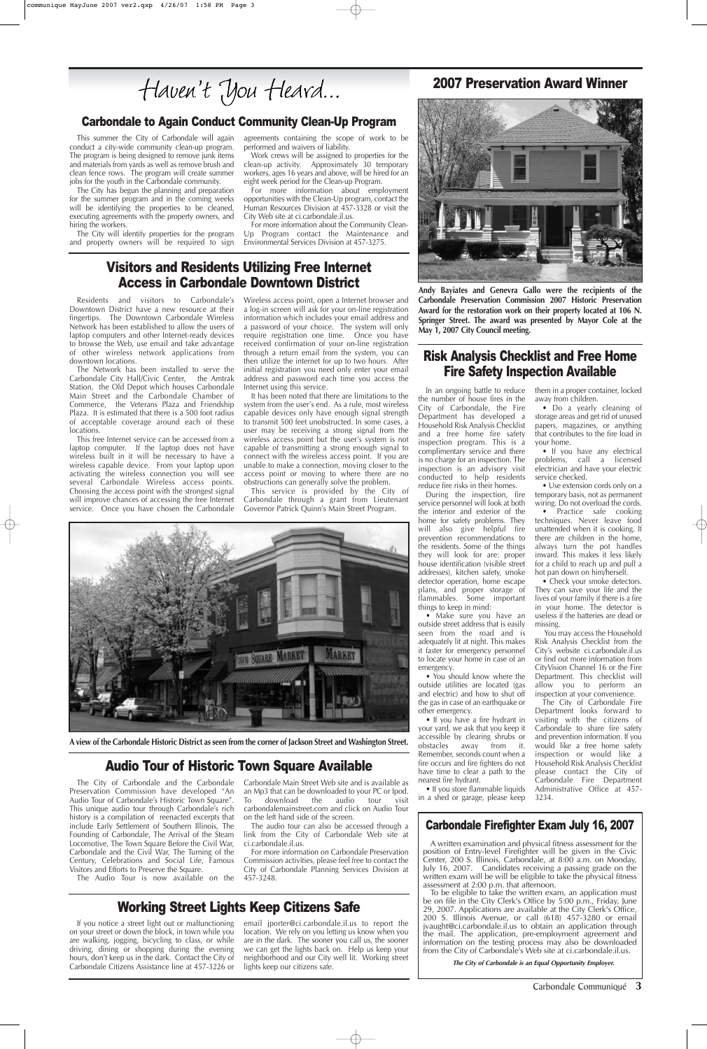## Risk Analysis Checklist and Free Home Fire Safety Inspection Available

In an ongoing battle to reduce the number of house fires in the City of Carbondale, the Fire Department has developed a Household Risk Analysis Checklist and a free home fire safety inspection program. This is a complimentary service and there is no charge for an inspection. The inspection is an advisory visit conducted to help residents reduce fire risks in their homes.

During the inspection, fire service personnel will look at both the interior and exterior of the home for safety problems. They will also give helpful fire prevention recommendations to the residents. Some of the things they will look for are: proper house identification (visible street addresses), kitchen safety, smoke detector operation, home escape plans, and proper storage of flammables. Some important things to keep in mind:

• If you store flammable liquids in a shed or garage, please keep

• Make sure you have an outside street address that is easily seen from the road and is adequately lit at night. This makes it faster for emergency personnel to locate your home in case of an emergency.

• You should know where the outside utilities are located (gas and electric) and how to shut off the gas in case of an earthquake or other emergency.

• If you have a fire hydrant in your yard, we ask that you keep it accessible by clearing shrubs or obstacles away from it. Remember, seconds count when a fire occurs and fire fighters do not have time to clear a path to the nearest fire hydrant.

them in a proper container, locked away from children.

• Do a yearly cleaning of storage areas and get rid of unused papers, magazines, or anything that contributes to the fire load in your home.

• If you have any electrical problems, call a licensed electrician and have your electric service checked.

• Use extension cords only on a temporary basis, not as permanent wiring. Do not overload the cords.

• Practice safe cooking techniques. Never leave food unattended when it is cooking. If there are children in the home, always turn the pot handles inward. This makes it less likely for a child to reach up and pull a hot pan down on him/herself.

• Check your smoke detectors. They can save your life and the lives of your family if there is a fire in your home. The detector is useless if the batteries are dead or missing.

You may access the Household Risk Analysis Checklist from the City's website ci.carbondale.il.us or find out more information from CityVision Channel 16 or the Fire Department. This checklist will allow you to perform an inspection at your convenience.

The City of Carbondale Fire Department looks forward to visiting with the citizens of Carbondale to share fire safety and prevention information. If you would like a free home safety inspection or would like a Household Risk Analysis Checklist please contact the City of Carbondale Fire Department Administrative Office at 457- 3234.

## Carbondale to Again Conduct Community Clean-Up Program

## 2007 Preservation Award Winner



This summer the City of Carbondale will again conduct a city-wide community clean-up program. The program is being designed to remove junk items and materials from yards as well as remove brush and clean fence rows. The program will create summer jobs for the youth in the Carbondale community.

The City has begun the planning and preparation for the summer program and in the coming weeks will be identifying the properties to be cleaned, executing agreements with the property owners, and hiring the workers.

The City will identify properties for the program and property owners will be required to sign agreements containing the scope of work to be performed and waivers of liability.

Work crews will be assigned to properties for the clean-up activity. Approximately 30 temporary workers, ages 16 years and above, will be hired for an eight week period for the Clean-up Program.

For more information about employment opportunities with the Clean-Up program, contact the Human Resources Division at 457-3328 or visit the City Web site at ci.carbondale.il.us.

For more information about the Community Clean-Up Program contact the Maintenance and Environmental Services Division at 457-3275.

## Visitors and Residents Utilizing Free Internet Access in Carbondale Downtown District

Residents and visitors to Carbondale's Downtown District have a new resource at their fingertips. The Downtown Carbondale Wireless Network has been established to allow the users of laptop computers and other Internet-ready devices to browse the Web, use email and take advantage of other wireless network applications from downtown locations.

The Network has been installed to serve the Carbondale City Hall/Civic Center, the Amtrak Station, the Old Depot which houses Carbondale Main Street and the Carbondale Chamber of Commerce, the Veterans Plaza and Friendship Plaza. It is estimated that there is a 500 foot radius of acceptable coverage around each of these locations.

This free Internet service can be accessed from a laptop computer. If the laptop does not have wireless built in it will be necessary to have a wireless capable device. From your laptop upon activating the wireless connection you will see several Carbondale Wireless access points. Choosing the access point with the strongest signal will improve chances of accessing the free Internet service. Once you have chosen the Carbondale Wireless access point, open a Internet browser and a log-in screen will ask for your on-line registration information which includes your email address and a password of your choice. The system will only require registration one time. Once you have received confirmation of your on-line registration through a return email from the system, you can then utilize the internet for up to two hours. After initial registration you need only enter your email address and password each time you access the Internet using this service.

It has been noted that there are limitations to the system from the user's end. As a rule, most wireless capable devices only have enough signal strength to transmit 500 feet unobstructed. In some cases, a user may be receiving a strong signal from the wireless access point but the user's system is not capable of transmitting a strong enough signal to connect with the wireless access point. If you are unable to make a connection, moving closer to the access point or moving to where there are no obstructions can generally solve the problem.

This service is provided by the City of Carbondale through a grant from Lieutenant Governor Patrick Quinn's Main Street Program.



Carbondale Communiqué **3**

## Audio Tour of Historic Town Square Available

The City of Carbondale and the Carbondale Preservation Commission have developed "An Audio Tour of Carbondale's Historic Town Square". This unique audio tour through Carbondale's rich history is a compilation of reenacted excerpts that include Early Settlement of Southern Illinois, The Founding of Carbondale, The Arrival of the Steam Locomotive, The Town Square Before the Civil War, Carbondale and the Civil War, The Turning of the Century, Celebrations and Social Life, Famous Visitors and Efforts to Preserve the Square.

The Audio Tour is now available on the

Carbondale Main Street Web site and is available as an Mp3 that can be downloaded to your PC or Ipod. To download the audio tour visit carbondalemainstreet.com and click on Audio Tour on the left hand side of the screen.

The audio tour can also be accessed through a link from the City of Carbondale Web site at ci.carbondale.il.us.

For more information on Carbondale Preservation Commission activities, please feel free to contact the City of Carbondale Planning Services Division at 457-3248.

**A view of the Carbondale Historic District as seen from the corner of Jackson Street and Washington Street.**

## Carbondale Firefighter Exam July 16, 2007

A written examination and physical fitness assessment for the position of Entry-level Firefighter will be given in the Civic Center, 200 S. Illinois, Carbondale, at 8:00 a.m. on Monday, July 16, 2007. Candidates receiving a passing grade on the written exam will be will be eligible to take the physical fitness assessment at 2:00 p.m. that afternoon.

To be eligible to take the written exam, an application must be on file in the City Clerk's Office by 5:00 p.m., Friday, June 29, 2007. Applications are available at the City Clerk's Office, 200 S. Illinois Avenue, or call (618) 457-3280 or email jvaught@ci.carbondale.il.us to obtain an application through the mail. The application, pre-employment agreement and information on the testing process may also be downloaded from the City of Carbondale's Web site at ci.carbondale.il.us.

**The City of Carbondale is an Equal Opportunity Employer.**

**Andy Bayiates and Genevra Gallo were the recipients of the Carbondale Preservation Commission 2007 Historic Preservation Award for the restoration work on their property located at 106 N. Springer Street. The award was presented by Mayor Cole at the May 1, 2007 City Council meeting.**

## Working Street Lights Keep Citizens Safe

If you notice a street light out or malfunctioning on your street or down the block, in town while you are walking, jogging, bicycling to class, or while driving, dining or shopping during the evening hours, don't keep us in the dark. Contact the City of Carbondale Citizens Assistance line at 457-3226 or

email jporter@ci.carbondale.il.us to report the location. We rely on you letting us know when you are in the dark. The sooner you call us, the sooner we can get the lights back on. Help us keep your neighborhood and our City well lit. Working street lights keep our citizens safe.

Haven't You Heard...